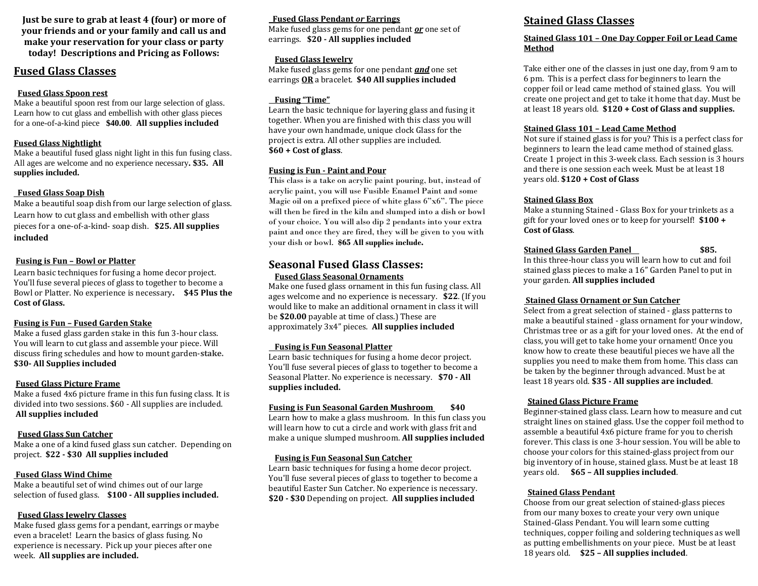**Just be sure to grab at least 4 (four) or more of your friends and or your family and call us and make your reservation for your class or party today! Descriptions and Pricing as Follows:**

## **Fused Glass Classes**

## **Fused Glass Spoon rest**

Make a beautiful spoon rest from our large selection of glass. Learn how to cut glass and embellish with other glass pieces for a one-of-a-kind piece **\$40.00**. **All supplies included**

## **Fused Glass Nightlight**

Make a beautiful fused glass night light in this fun fusing class. All ages are welcome and no experience necessary**. \$35. All supplies included.**

## **Fused Glass Soap Dish**

Make a beautiful soap dish from our large selection of glass. Learn how to cut glass and embellish with other glass pieces for a one-of-a-kind- soap dish. **\$25. All supplies included**

## **Fusing is Fun – Bowl or Platter**

Learn basic techniques for fusing a home decor project. You'll fuse several pieces of glass to together to become a Bowl or Platter. No experience is necessary**. \$45 Plus the Cost of Glass.**

## **Fusing is Fun – Fused Garden Stake**

Make a fused glass garden stake in this fun 3-hour class. You will learn to cut glass and assemble your piece. Will discuss firing schedules and how to mount garden-**stake. \$30- All Supplies included**

## **Fused Glass Picture Frame**

Make a fused 4x6 picture frame in this fun fusing class. It is divided into two sessions. \$60 - All supplies are included. **All supplies included**

## **Fused Glass Sun Catcher**

Make a one of a kind fused glass sun catcher. Depending on project. **\$22 - \$30 All supplies included**

## **Fused Glass Wind Chime**

Make a beautiful set of wind chimes out of our large selection of fused glass. **\$100 - All supplies included.**

## **Fused Glass Jewelry Classes**

Make fused glass gems for a pendant, earrings or maybe even a bracelet! Learn the basics of glass fusing. No experience is necessary. Pick up your pieces after one week. **All supplies are included.**

## **Fused Glass Pendant** *or* **Earrings**

Make fused glass gems for one pendant *or* one set of earrings. **\$20 - All supplies included**

## **Fused Glass Jewelry**

Make fused glass gems for one pendant *and* one set earrings **OR** a bracelet. **\$40 All supplies included** 

## **Fusing "Time"**

Learn the basic technique for layering glass and fusing it together. When you are finished with this class you will have your own handmade, unique clock Glass for the project is extra. All other supplies are included. **\$60 + Cost of glass**.

## **Fusing is Fun - Paint and Pour**

This class is a take on acrylic paint pouring, but, instead of acrylic paint, you will use Fusible Enamel Paint and some Magic oil on a prefixed piece of white glass 6"x6". The piece will then be fired in the kiln and slumped into a dish or bowl of your choice. You will also dip 2 pendants into your extra paint and once they are fired, they will be given to you with your dish or bowl. **\$65 All supplies include.**

## **Seasonal Fused Glass Classes: Fused Glass Seasonal Ornaments**

Make one fused glass ornament in this fun fusing class. All ages welcome and no experience is necessary. **\$22**. (If you would like to make an additional ornament in class it will be **\$20.00** payable at time of class.) These are approximately 3x4" pieces. **All supplies included**

## **Fusing is Fun Seasonal Platter**

Learn basic techniques for fusing a home decor project. You'll fuse several pieces of glass to together to become a Seasonal Platter. No experience is necessary. **\$70 - All supplies included.**

## **Fusing is Fun Seasonal Garden Mushroom \$40**

Learn how to make a glass mushroom. In this fun class you will learn how to cut a circle and work with glass frit and make a unique slumped mushroom. **All supplies included**

## **Fusing is Fun Seasonal Sun Catcher**

Learn basic techniques for fusing a home decor project. You'll fuse several pieces of glass to together to become a beautiful Easter Sun Catcher. No experience is necessary. **\$20 - \$30** Depending on project. **All supplies included**

## **Stained Glass Classes**

## **Stained Glass 101 – One Day Copper Foil or Lead Came Method**

Take either one of the classes in just one day, from 9 am to 6 pm. This is a perfect class for beginners to learn the copper foil or lead came method of stained glass. You will create one project and get to take it home that day. Must be at least 18 years old. **\$120 + Cost of Glass and supplies.**

## **Stained Glass 101 – Lead Came Method**

Not sure if stained glass is for you? This is a perfect class for beginners to learn the lead came method of stained glass. Create 1 project in this 3-week class. Each session is 3 hours and there is one session each week. Must be at least 18 years old. **\$120 + Cost of Glass**

## **Stained Glass Box**

Make a stunning Stained - Glass Box for your trinkets as a gift for your loved ones or to keep for yourself! **\$100 + Cost of Glass**.

## **Stained Glass Garden Panel \$85.**

In this three-hour class you will learn how to cut and foil stained glass pieces to make a 16" Garden Panel to put in your garden. **All supplies included**

## **Stained Glass Ornament or Sun Catcher**

Select from a great selection of stained - glass patterns to make a beautiful stained - glass ornament for your window, Christmas tree or as a gift for your loved ones. At the end of class, you will get to take home your ornament! Once you know how to create these beautiful pieces we have all the supplies you need to make them from home. This class can be taken by the beginner through advanced. Must be at least 18 years old. **\$35 - All supplies are included**.

## **Stained Glass Picture Frame**

Beginner-stained glass class. Learn how to measure and cut straight lines on stained glass. Use the copper foil method to assemble a beautiful 4x6 picture frame for you to cherish forever. This class is one 3-hour session. You will be able to choose your colors for this stained-glass project from our big inventory of in house, stained glass. Must be at least 18 years old. **\$65 – All supplies included**.

## **Stained Glass Pendant**

Choose from our great selection of stained-glass pieces from our many boxes to create your very own unique Stained-Glass Pendant. You will learn some cutting techniques, copper foiling and soldering techniques as well as putting embellishments on your piece. Must be at least 18 years old. **\$25 – All supplies included**.